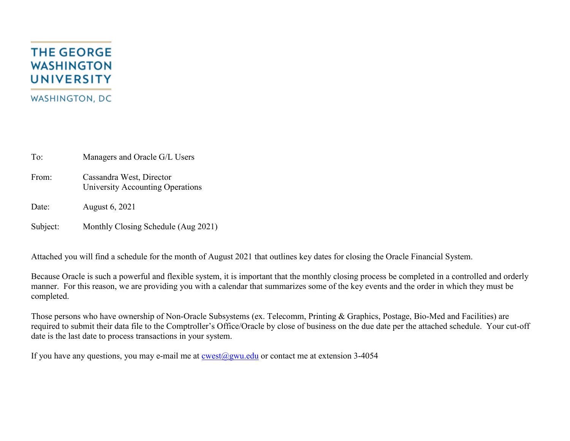## **THE GEORGE WASHINGTON UNIVERSITY WASHINGTON, DC**

To: Managers and Oracle G/L Users

From: Cassandra West, Director University Accounting Operations

Date: August 6, 2021

Subject: Monthly Closing Schedule (Aug 2021)

Attached you will find a schedule for the month of August 2021 that outlines key dates for closing the Oracle Financial System.

Because Oracle is such a powerful and flexible system, it is important that the monthly closing process be completed in a controlled and orderly manner. For this reason, we are providing you with a calendar that summarizes some of the key events and the order in which they must be completed.

Those persons who have ownership of Non-Oracle Subsystems (ex. Telecomm, Printing & Graphics, Postage, Bio-Med and Facilities) are required to submit their data file to the Comptroller's Office/Oracle by close of business on the due date per the attached schedule. Your cut-off date is the last date to process transactions in your system.

If you have any questions, you may e-mail me at  $\cos(\omega)$ gwu.edu or contact me at extension 3-4054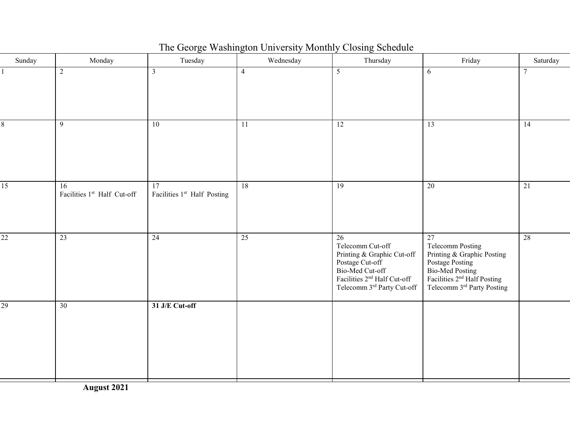The George Washington University Monthly Closing Schedule

| Sunday          | Monday                            | Tuesday                           | Wednesday      | Thursday                                                                                                                                                            | Friday                                                                                                                                                    | Saturday |
|-----------------|-----------------------------------|-----------------------------------|----------------|---------------------------------------------------------------------------------------------------------------------------------------------------------------------|-----------------------------------------------------------------------------------------------------------------------------------------------------------|----------|
|                 | $\overline{2}$                    | $\mathfrak{Z}$                    | $\overline{4}$ | $5\overline{)}$                                                                                                                                                     | 6                                                                                                                                                         | $\tau$   |
| 8               | 9                                 | $\overline{10}$                   | 11             | $\overline{12}$                                                                                                                                                     | 13                                                                                                                                                        | 14       |
| $\overline{15}$ | 16<br>Facilities 1st Half Cut-off | 17<br>Facilities 1st Half Posting | 18             | 19                                                                                                                                                                  | 20                                                                                                                                                        | 21       |
| $\overline{22}$ | 23                                | 24                                | 25             | 26<br>Telecomm Cut-off<br>Printing & Graphic Cut-off<br>Postage Cut-off<br>Bio-Med Cut-off<br>Facilities 2 <sup>nd</sup> Half Cut-off<br>Telecomm 3rd Party Cut-off | 27<br>Telecomm Posting<br>Printing & Graphic Posting<br>Postage Posting<br>Bio-Med Posting<br>Facilities $2nd$ Half Posting<br>Telecomm 3rd Party Posting | 28       |
| 29              | 30                                | 31 J/E Cut-off                    |                |                                                                                                                                                                     |                                                                                                                                                           |          |

**August 2021**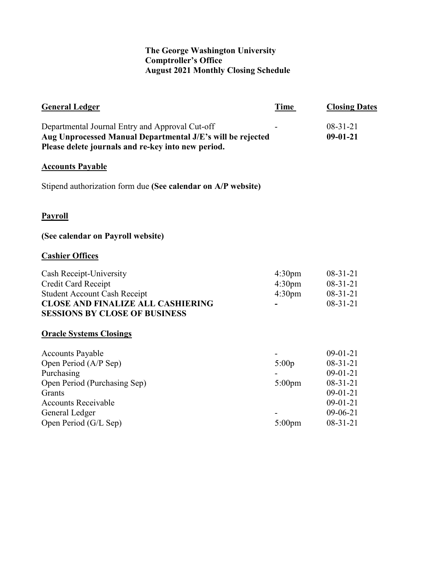## **The George Washington University Comptroller's Office August 2021 Monthly Closing Schedule**

| Time                                                           | <b>Closing Dates</b>                                                                                             |
|----------------------------------------------------------------|------------------------------------------------------------------------------------------------------------------|
|                                                                | $08-31-21$<br>$09-01-21$                                                                                         |
|                                                                |                                                                                                                  |
|                                                                |                                                                                                                  |
|                                                                |                                                                                                                  |
|                                                                |                                                                                                                  |
|                                                                |                                                                                                                  |
| 4:30 <sub>pm</sub><br>4:30 <sub>pm</sub><br>4:30 <sub>pm</sub> | $08-31-21$<br>$08-31-21$<br>$08-31-21$<br>$08-31-21$                                                             |
|                                                                |                                                                                                                  |
| 5:00p<br>$5:00$ pm<br>$5:00$ pm                                | $09-01-21$<br>$08-31-21$<br>$09-01-21$<br>$08-31-21$<br>$09-01-21$<br>$09-01-21$<br>$09-06-21$<br>$08 - 31 - 21$ |
|                                                                |                                                                                                                  |